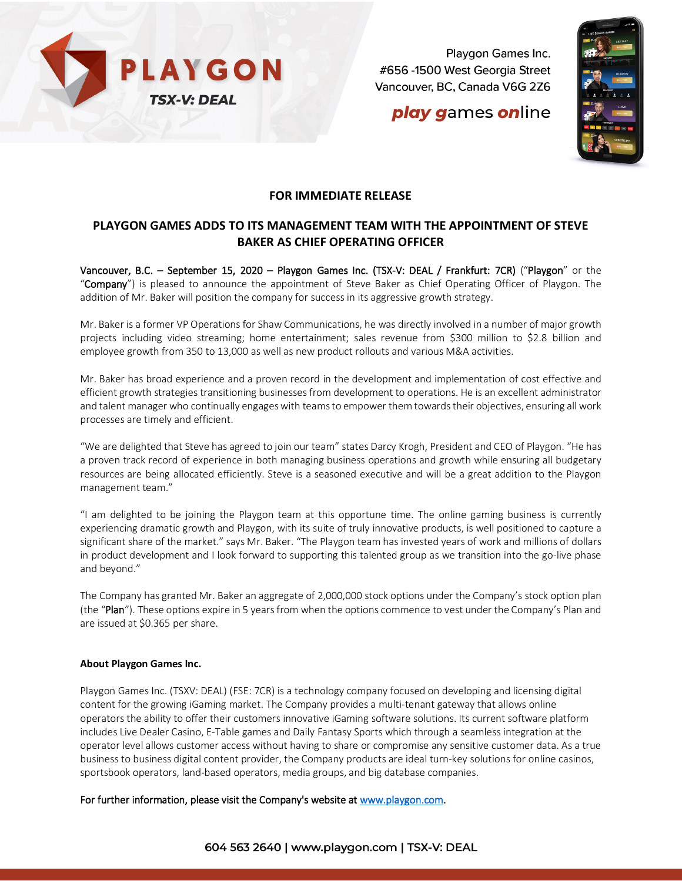

Playgon Games Inc. #656 -1500 West Georgia Street Vancouver, BC, Canada V6G 2Z6

# **play games online**



### **FOR IMMEDIATE RELEASE**

### **PLAYGON GAMES ADDS TO ITS MANAGEMENT TEAM WITH THE APPOINTMENT OF STEVE BAKER AS CHIEF OPERATING OFFICER**

Vancouver, B.C. – September 15, 2020 – Playgon Games Inc. (TSX-V: DEAL / Frankfurt: 7CR) ("Playgon" or the "Company") is pleased to announce the appointment of Steve Baker as Chief Operating Officer of Playgon. The addition of Mr. Baker will position the company for success in its aggressive growth strategy.

Mr. Baker is a former VP Operations for Shaw Communications, he was directly involved in a number of major growth projects including video streaming; home entertainment; sales revenue from \$300 million to \$2.8 billion and employee growth from 350 to 13,000 as well as new product rollouts and various M&A activities.

Mr. Baker has broad experience and a proven record in the development and implementation of cost effective and efficient growth strategies transitioning businesses from development to operations. He is an excellent administrator and talent manager who continually engages with teams to empower them towards their objectives, ensuring all work processes are timely and efficient.

"We are delighted that Steve has agreed to join our team" states Darcy Krogh, President and CEO of Playgon. "He has a proven track record of experience in both managing business operations and growth while ensuring all budgetary resources are being allocated efficiently. Steve is a seasoned executive and will be a great addition to the Playgon management team."

"I am delighted to be joining the Playgon team at this opportune time. The online gaming business is currently experiencing dramatic growth and Playgon, with its suite of truly innovative products, is well positioned to capture a significant share of the market." says Mr. Baker. "The Playgon team has invested years of work and millions of dollars in product development and I look forward to supporting this talented group as we transition into the go-live phase and beyond."

The Company has granted Mr. Baker an aggregate of 2,000,000 stock options under the Company's stock option plan (the "Plan"). These options expire in 5 years from when the options commence to vest under the Company's Plan and are issued at \$0.365 per share.

#### **About Playgon Games Inc.**

Playgon Games Inc. (TSXV: DEAL) (FSE: 7CR) is a technology company focused on developing and licensing digital content for the growing iGaming market. The Company provides a multi-tenant gateway that allows online operators the ability to offer their customers innovative iGaming software solutions. Its current software platform includes Live Dealer Casino, E-Table games and Daily Fantasy Sports which through a seamless integration at the operator level allows customer access without having to share or compromise any sensitive customer data. As a true business to business digital content provider, the Company products are ideal turn-key solutions for online casinos, sportsbook operators, land-based operators, media groups, and big database companies.

For further information, please visit the Company's website at [www.playgon.com.](http://www.playgon.com/)